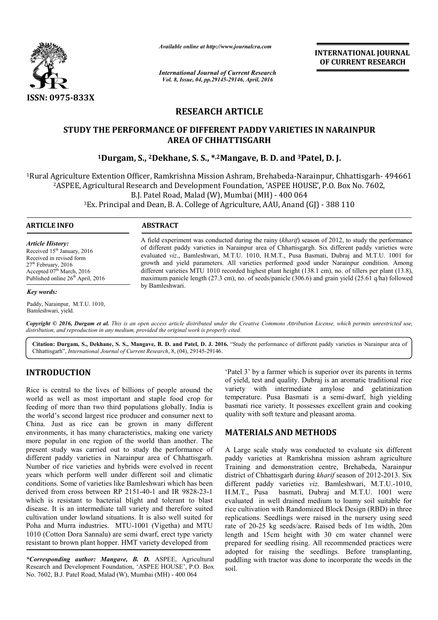

*Available online at http://www.journalcra.com*

*International Journal of Current Research Vol. 8, Issue, 04, pp.29145-29146, April, 2016*

**INTERNATIONAL JOURNAL OF CURRENT RESEARCH** 

# **RESEARCH ARTICLE**

# **STUDY THE PERFORMANCE OF DIFFERENT PADDY VARIETIES IN NARAINPUR AREA OF CHHATTISGARH**

# **1Durgam, S., 2Dekhane Dekhane, S. S., \*,2Mangave, B. D. and 3Patel Patel, D. J.**

<sup>1</sup>Rural Agriculture Extention Officer, Ramkrishna Mission Ashram, Brehabeda-Narainpur, Chhattisgarh- 494661 <sup>2</sup>ASPEE, Agricultural Research and Development Foundation, 'ASPEE HOUSE', P.O. Box No. 7602, B.J. Patel Road, Malad (W), Mumbai (MH) - 400 064 gricultural Research and Development Foundation, 'ASPEE HOUSE', P.O. Box I<br>B.J. Patel Road, Malad (W), Mumbai (MH) - 400 064<br>Ex. Principal and Dean, B. A. College of Agriculture, AAU, Anand (GJ) - 388 110

3Ex. Principal and Dean, B. A. College of Agriculture, AAU, Anand (GJ) Ex.

#### **ARTICLE INFO ABSTRACT**

*Article History:* Received 15<sup>th</sup> January, 2016 Received in revised form 27<sup>th</sup> February, 2016 Accepted 07<sup>th</sup> March, 2016 Published online 26<sup>th</sup> April, 2016

#### *Key words:*

Paddy, Narainpur, M.T.U. 1010, Bamleshwari, yield.

A field experiment was conducted during the rainy ( *kharif*) season of 2012, to study the performance A field experiment was conducted during the rainy (*kharif*) season of 2012, to study the performance of different paddy varieties in Narainpur area of Chhattisgargh. Six different paddy varieties were evaluated *viz*., Bamleshwari, M.T.U. 1010, H.M.T., Pusa Basmati, Dubraj and M.T.U. 1001 for growth and yield parameters. All varieties performed good under Narainpur condition. Among different varieties MTU 1010 recorded highest plant height (138.1 cm), no. of tillers per plant (13.8), growth and yield parameters. All varieties performed good under Narainpur condition. Among different varieties MTU 1010 recorded highest plant height (138.1 cm), no. of tillers per plant (13.8), maximum panicle length (27. by Bamleshwari.

Copyright © 2016, Durgam et al. This is an open access article distributed under the Creative Commons Attribution License, which permits unrestricted use, *distribution, and reproduction in any medium, provided the original work is properly cited.*

Citation: Durgam, S., Dekhane, S. S., Mangave, B. D. and Patel, D. J. 2016. "Study the performance of different paddy varieties in Narainpur area of Chhattisgarh", *International Journal of Current Research* , 8, (04), 29145-29146.

# **INTRODUCTION**

Rice is central to the lives of billions of people around the world as well as most important and staple food crop for feeding of more than two third populations globally. India is the world's second largest rice producer and consumer next to China. Just as rice can be grown in many different environments, it has many characteristics, making one variety more popular in one region of the world than another. The present study was carried out to study the performance of different paddy varieties in Narainpur area of Chhattisgarh. Number of rice varieties and hybrids were evolved in recent years which perform well under different soil and climatic conditions. Some of varieties like Bamleshwari which has been derived from cross between RP 2151-40-1 and IR 9828 which is resistant to bacterial blight and tolerant to blast disease. It is an intermediate tall variety and therefore suited cultivation under lowland situations. It is also well suited for Poha and Murra industries. MTU-1001 (Vigetha) and MTU 1010 (Cotton Dora Sannalu) are semi dwarf, erect type variety resistant to brown plant hopper. HMT variety developed from na. Just as rice can be grown in many different<br>ronments, it has many characteristics, making one variety<br>e popular in one region of the world than another. The<br>ent study was carried out to study the performance of<br>rent pa d Murra industries. MTU-1001 (Vigetha) and<br>otton Dora Sannalu) are semi dwarf, erect type v.<br>to brown plant hopper. HMT variety developed f<br>*oonding author: Mangave, B. D.* ASPEE, Agric<br>and Development Foundation, 'ASPEE H

*\*Corresponding author: Mangave, B. D.* ASPEE, Agricultural Research and Development Foundation, 'ASPEE HOUSE', P.O. Box No. 7602, B.J. Patel Road, Malad (W), Mumbai (MH)

'Patel 3' by a farmer which is superior over its parents in terms of yield, test and quality. Dubraj is an aromatic traditional rice variety with intermediate amylose and gelatinization temperature. Pusa Basmati is a semi-dwarf, high yielding basmati rice variety. It possesses excellent grain and cooking basmati rice variety. It possesses excellent quality with soft texture and pleasant aroma. farmer which is superior over its parents in terms<br>yield, test and quality. Dubraj is an aromatic traditional rice<br>iety with intermediate amylose and gelatinization<br>nperature. Pusa Basmati is a semi-dwarf, high yielding

# **MATERIALS AND METHODS METHODS**

A Large scale study was conducted to evaluate six different A Large scale study was conducted to evaluate six different paddy varieties at Ramkrishna mission ashram agriculture Training and demonstration centre, Brehabeda, Narainpur Training and demonstration centre, Brehabeda, Narainpur district of Chhattisgarh during *kharif* season of 2012-2013. Six different paddy varieties *viz* . Bamleshwari, M.T.U.-1010, H.M.T., Pusa basmati, Dubraj and M.T.U. 1001 were evaluated in well drained medium to loamy soil suitable for rice cultivation with Randomized Block Design (RBD) in three replications. Seedlings were raised in the nursery using seed rate of 20-25 kg seeds/acre. Raised beds of 1m width, 20m length and 15cm height with 30 cm water channel were prepared for seedling rising. All recommended practices were adopted for raising the seedlings. Before transplanting, puddling with tractor was done to incorporate the weeds in the soil. H.M.T., Pusa basmati, Dubraj and M.T.U. 1001 were valuated in well drained medium to loamy soil suitable for<br>ice cultivation with Randomized Block Design (RBD) in three<br>eplications. Seedlings were raised in the nursery usi INTERNATIONAL JOURNAL<br>
OF CURRENT RESEARCH<br>
DESERVIENT RESEARCH<br>
ES IN NARAINPUR<br>
Patel, D. J.<br>
arrainpur, Chhattisgarh-494661<br>
USE', P.O. Box No. 7602,<br>
4<br>
eason of 2012, to study the performance<br>
argan. Six different pa